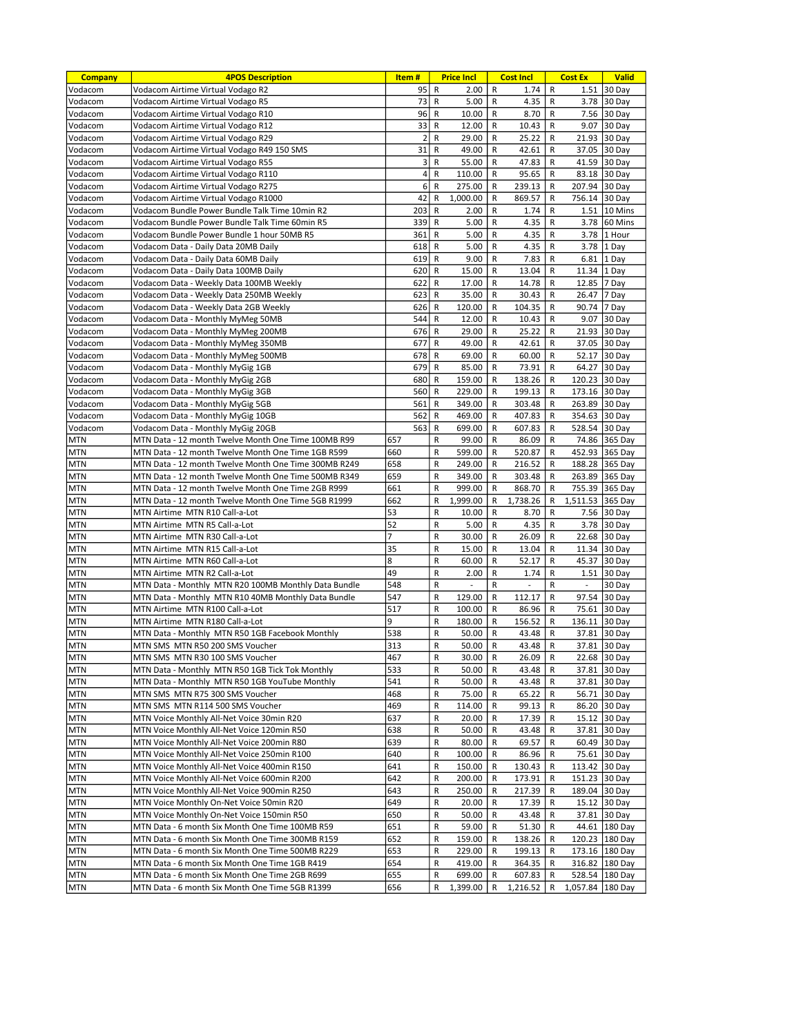| <b>Company</b>           | <b>4POS Description</b>                                                                          | Item#          |              | <b>Price Incl</b> | <b>Cost Incl</b><br><b>Cost Ex</b> |                  | <b>Valid</b> |                                  |                    |
|--------------------------|--------------------------------------------------------------------------------------------------|----------------|--------------|-------------------|------------------------------------|------------------|--------------|----------------------------------|--------------------|
| Vodacom                  | Vodacom Airtime Virtual Vodago R2                                                                | 95             | R            | 2.00              | R                                  | 1.74             | R            |                                  | 1.51 30 Day        |
| Vodacom                  | Vodacom Airtime Virtual Vodago R5                                                                | 73             | R            | 5.00              | R                                  | 4.35             | R            | 3.78                             | $ 30 \text{ Day} $ |
| Vodacom                  | Vodacom Airtime Virtual Vodago R10                                                               | 96             | $\mathsf{R}$ | 10.00             | R                                  | 8.70             | R            | 7.56                             | 30 Day             |
| Vodacom                  | Vodacom Airtime Virtual Vodago R12                                                               | 33             | R            | 12.00             | R                                  | 10.43            | R            | 9.07                             | 30 Day             |
| Vodacom                  | Vodacom Airtime Virtual Vodago R29                                                               | $\overline{2}$ | R            | 29.00             | R                                  | 25.22            | R            | 21.93                            | 30 Day             |
| Vodacom                  | Vodacom Airtime Virtual Vodago R49 150 SMS                                                       | 31             | R            | 49.00             | R                                  | 42.61            | R            | 37.05                            | 30 Day             |
| Vodacom                  | Vodacom Airtime Virtual Vodago R55                                                               | 3              | R            | 55.00             | R                                  | 47.83            | R            | 41.59                            | 30 Day             |
| Vodacom                  | Vodacom Airtime Virtual Vodago R110                                                              | 4              | R            | 110.00            | R                                  | 95.65            | R            | 83.18                            | 30 Day             |
| Vodacom                  | Vodacom Airtime Virtual Vodago R275                                                              | 6              | $\mathsf{R}$ | 275.00            | R                                  | 239.13           | R            | 207.94                           | 30 Day             |
| Vodacom                  | Vodacom Airtime Virtual Vodago R1000                                                             | 42<br>203      | R<br>R       | 1.000.00          | R                                  | 869.57<br>1.74   | R            | 756.14<br>1.51                   | 30 Day<br>10 Mins  |
| Vodacom<br>Vodacom       | Vodacom Bundle Power Bundle Talk Time 10min R2<br>Vodacom Bundle Power Bundle Talk Time 60min R5 | 339            | R            | 2.00<br>5.00      | R<br>R                             | 4.35             | R<br>R       | 3.78                             | 60 Mins            |
| Vodacom                  | Vodacom Bundle Power Bundle 1 hour 50MB R5                                                       | 361            | R            | 5.00              | R                                  | 4.35             | R            | 3.78                             | 1 Hour             |
| Vodacom                  | Vodacom Data - Daily Data 20MB Daily                                                             | 618            | $\mathsf{R}$ | 5.00              | R                                  | 4.35             | R            | 3.78                             | 1 Day              |
| Vodacom                  | Vodacom Data - Daily Data 60MB Daily                                                             | 619            | R            | 9.00              | R                                  | 7.83             | R            | 6.81                             | 1 Day              |
| Vodacom                  | Vodacom Data - Daily Data 100MB Daily                                                            | 620            | R            | 15.00             | R                                  | 13.04            | R            | 11.34                            | 1 Day              |
| Vodacom                  | Vodacom Data - Weekly Data 100MB Weekly                                                          | 622            | R            | 17.00             | R                                  | 14.78            | R            | 12.85                            | 7 Day              |
| Vodacom                  | Vodacom Data - Weekly Data 250MB Weekly                                                          | 623            | R            | 35.00             | R                                  | 30.43            | R            | 26.47                            | 7 Day              |
| Vodacom                  | Vodacom Data - Weekly Data 2GB Weekly                                                            | 626            | R            | 120.00            | R                                  | 104.35           | R            | 90.74                            | 7 Day              |
| Vodacom                  | Vodacom Data - Monthly MyMeg 50MB                                                                | 544            | R            | 12.00             | R                                  | 10.43            | R            | 9.07                             | 30 Day             |
| Vodacom                  | Vodacom Data - Monthly MyMeg 200MB                                                               | 676            | $\mathsf{R}$ | 29.00             | R                                  | 25.22            | R            | 21.93                            | 30 Day             |
| Vodacom                  | Vodacom Data - Monthly MyMeg 350MB                                                               | 677            | R            | 49.00             | R                                  | 42.61            | R            | 37.05                            | 30 Day             |
| Vodacom                  | Vodacom Data - Monthly MyMeg 500MB                                                               | 678            | R            | 69.00             | R                                  | 60.00            | R            | 52.17                            | 30 Day             |
| Vodacom                  | Vodacom Data - Monthly MyGig 1GB                                                                 | 679            | R            | 85.00             | R                                  | 73.91            | R            | 64.27                            | 30 Day             |
| Vodacom                  | Vodacom Data - Monthly MyGig 2GB                                                                 | 680            | R            | 159.00            | R                                  | 138.26           | R            | 120.23                           | 30 Day             |
| Vodacom<br>Vodacom       | Vodacom Data - Monthly MyGig 3GB                                                                 | 560<br>561     | R<br>R       | 229.00<br>349.00  | R<br>R                             | 199.13<br>303.48 | R            | 173.16                           | 30 Day             |
| Vodacom                  | Vodacom Data - Monthly MyGig 5GB<br>Vodacom Data - Monthly MyGig 10GB                            | 562            | R            | 469.00            | R                                  | 407.83           | R<br>R       | 263.89<br>354.63                 | 30 Day<br>30 Day   |
| Vodacom                  | Vodacom Data - Monthly MyGig 20GB                                                                | 563            | R            | 699.00            | R                                  | 607.83           | R            | 528.54                           | 30 Day             |
| MTN                      | MTN Data - 12 month Twelve Month One Time 100MB R99                                              | 657            | R            | 99.00             | R                                  | 86.09            | R            | 74.86                            | 365 Day            |
| MTN                      | MTN Data - 12 month Twelve Month One Time 1GB R599                                               | 660            | R            | 599.00            | R                                  | 520.87           | R            | 452.93                           | 365 Day            |
| <b>MTN</b>               | MTN Data - 12 month Twelve Month One Time 300MB R249                                             | 658            | R            | 249.00            | R                                  | 216.52           | R            | 188.28                           | 365 Day            |
| MTN                      | MTN Data - 12 month Twelve Month One Time 500MB R349                                             | 659            | R            | 349.00            | R                                  | 303.48           | R            | 263.89                           | 365 Day            |
| <b>MTN</b>               | MTN Data - 12 month Twelve Month One Time 2GB R999                                               | 661            | R            | 999.00            | R                                  | 868.70           | R            | 755.39                           | 365 Day            |
| MTN                      | MTN Data - 12 month Twelve Month One Time 5GB R1999                                              | 662            | R            | 1,999.00          | R                                  | 1,738.26         | R            | 1,511.53                         | 365 Day            |
| MTN                      | MTN Airtime MTN R10 Call-a-Lot                                                                   | 53             | R            | 10.00             | R                                  | 8.70             | R            | 7.56                             | 30 Day             |
| MTN                      | MTN Airtime MTN R5 Call-a-Lot                                                                    | 52             | R            | 5.00              | R                                  | 4.35             | R            | 3.78                             | 30 Day             |
| MTN                      | MTN Airtime MTN R30 Call-a-Lot                                                                   | 7              | R            | 30.00             | R                                  | 26.09            | R            | 22.68                            | 30 Day             |
| MTN                      | MTN Airtime MTN R15 Call-a-Lot                                                                   | 35             | R            | 15.00             | R                                  | 13.04            | R            | 11.34                            | 30 Day             |
| MTN                      | MTN Airtime MTN R60 Call-a-Lot                                                                   | 8              | R            | 60.00             | R                                  | 52.17            | R            | 45.37                            | 30 Day             |
| MTN<br><b>MTN</b>        | MTN Airtime MTN R2 Call-a-Lot<br>MTN Data - Monthly MTN R20 100MB Monthly Data Bundle            | 49<br>548      | R<br>R       | 2.00<br>L,        | R<br>R                             | 1.74             | R<br>R       | 1.51<br>$\overline{\phantom{a}}$ | 30 Day<br>30 Day   |
| MTN                      | MTN Data - Monthly MTN R10 40MB Monthly Data Bundle                                              | 547            | R            | 129.00            | R                                  | 112.17           | R            | 97.54                            | 30 Day             |
| MTN                      | MTN Airtime MTN R100 Call-a-Lot                                                                  | 517            | R            | 100.00            | R                                  | 86.96            | R            | 75.61                            | 30 Day             |
| <b>MTN</b>               | MTN Airtime MTN R180 Call-a-Lot                                                                  | 9              | R            | 180.00            | R                                  | 156.52           | R            | 136.11                           | 30 Day             |
| <b>MTN</b>               | MTN Data - Monthly MTN R50 1GB Facebook Monthly                                                  | 538            | R            | 50.00             | R                                  | 43.48            | R            | 37.81                            | 30 Day             |
| MTN                      | MTN SMS MTN R50 200 SMS Voucher                                                                  | 313            | R            | 50.00             | R                                  | 43.48            | R            |                                  | 37.81 30 Day       |
| <b>MTN</b>               | MTN SMS MTN R30 100 SMS Voucher                                                                  | 467            | $\mathsf{R}$ | $30.00$ R         |                                    | $26.09$ R        |              |                                  | 22.68 30 Day       |
| <b>MTN</b>               | MTN Data - Monthly MTN R50 1GB Tick Tok Monthly                                                  | 533            | R            | 50.00             | R                                  | 43.48            | R            |                                  | 37.81 30 Day       |
| MTN                      | MTN Data - Monthly MTN R50 1GB YouTube Monthly                                                   | 541            | R            | 50.00             | R                                  | 43.48            | R            |                                  | 37.81 30 Day       |
| MTN                      | MTN SMS MTN R75 300 SMS Voucher                                                                  | 468            | R            | 75.00             | R                                  | 65.22            | R            |                                  | 56.71 30 Day       |
| MTN                      | MTN SMS MTN R114 500 SMS Voucher                                                                 | 469            | R            | 114.00            | R                                  | 99.13            | R            |                                  | 86.20 30 Day       |
| MTN                      | MTN Voice Monthly All-Net Voice 30min R20                                                        | 637            | R            | 20.00             | R                                  | 17.39            | R            |                                  | 15.12 30 Day       |
| MTN                      | MTN Voice Monthly All-Net Voice 120min R50                                                       | 638            | R            | 50.00             | R                                  | 43.48            | R            |                                  | 37.81 30 Day       |
| <b>MTN</b>               | MTN Voice Monthly All-Net Voice 200min R80                                                       | 639            | R            | 80.00             | R                                  | 69.57            | R            | 60.49                            | 30 Day             |
| MTN                      | MTN Voice Monthly All-Net Voice 250min R100                                                      | 640            | R            | 100.00            | R                                  | 86.96            | R            | 75.61                            | $ 30 \text{ Day} $ |
| <b>MTN</b><br><b>MTN</b> | MTN Voice Monthly All-Net Voice 400min R150<br>MTN Voice Monthly All-Net Voice 600min R200       | 641<br>642     | R<br>R       | 150.00<br>200.00  | R<br>R                             | 130.43<br>173.91 | R<br>R       | 113.42 30 Day<br>151.23          | $ 30$ Day          |
| MTN                      | MTN Voice Monthly All-Net Voice 900min R250                                                      | 643            | R            | 250.00            | R                                  | 217.39           | R            | 189.04 30 Day                    |                    |
| MTN                      | MTN Voice Monthly On-Net Voice 50min R20                                                         | 649            | R            | 20.00             | R                                  | 17.39            | R            |                                  | 15.12 30 Day       |
| MTN                      | MTN Voice Monthly On-Net Voice 150min R50                                                        | 650            | R            | 50.00             | R                                  | 43.48            | R            |                                  | 37.81 30 Day       |
| MTN                      | MTN Data - 6 month Six Month One Time 100MB R59                                                  | 651            | R            | 59.00             | R                                  | 51.30            | R            |                                  | 44.61 180 Day      |
| MTN                      | MTN Data - 6 month Six Month One Time 300MB R159                                                 | 652            | R            | 159.00            | R                                  | 138.26           | R            |                                  | 120.23 180 Day     |
| MTN                      | MTN Data - 6 month Six Month One Time 500MB R229                                                 | 653            | R            | 229.00            | R                                  | 199.13           | R            |                                  | 173.16 180 Day     |
| MTN                      | MTN Data - 6 month Six Month One Time 1GB R419                                                   | 654            | R            | 419.00            | R                                  | 364.35           | R            |                                  | 316.82 180 Day     |
| MTN                      | MTN Data - 6 month Six Month One Time 2GB R699                                                   | 655            | R            | 699.00            | R                                  | 607.83           | R            |                                  | 528.54 180 Day     |
| <b>MTN</b>               | MTN Data - 6 month Six Month One Time 5GB R1399                                                  | 656            | R            | 1,399.00          | R                                  | 1,216.52         | R            | 1,057.84 180 Day                 |                    |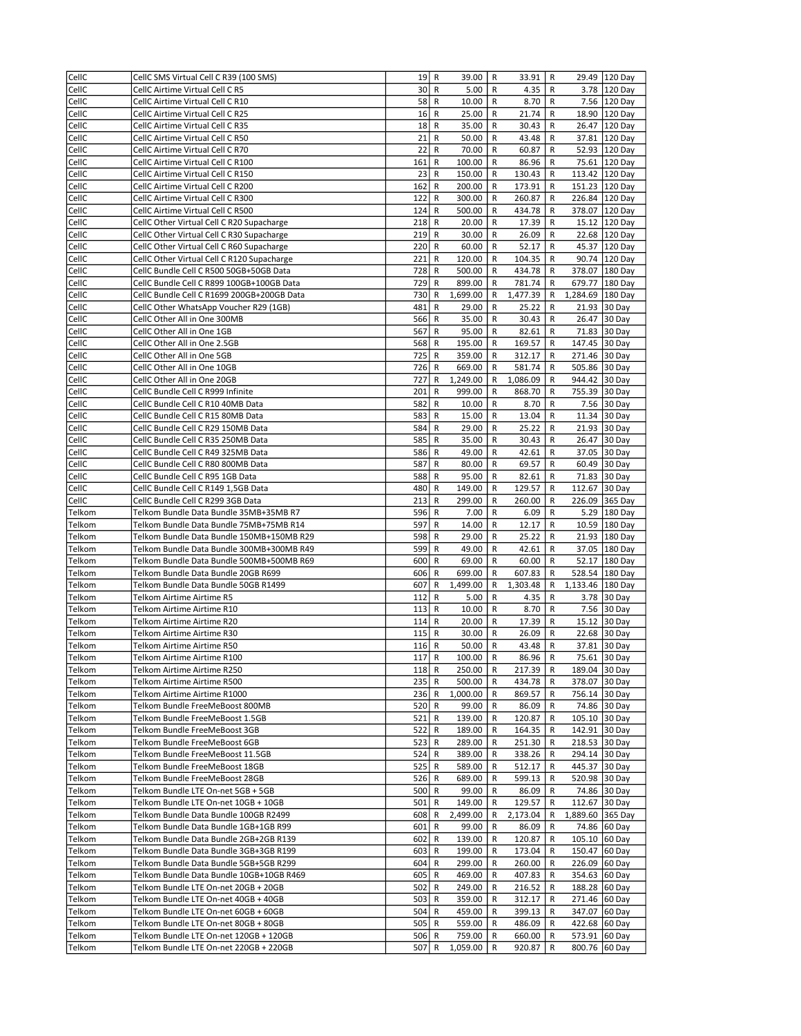| CellC            | CellC SMS Virtual Cell C R39 (100 SMS)                                           | 19             | R            | 39.00              | R            | 33.91            | R            | 29.49                          | 120 Day        |
|------------------|----------------------------------------------------------------------------------|----------------|--------------|--------------------|--------------|------------------|--------------|--------------------------------|----------------|
| CellC            | CellC Airtime Virtual Cell C R5                                                  | 30             | R            | 5.00               | R            | 4.35             | R            |                                | 3.78 120 Day   |
| CellC            | CellC Airtime Virtual Cell C R10                                                 | 58             | R            | 10.00              | R            | 8.70             | R            | 7.56                           | 120 Day        |
| CellC            | CellC Airtime Virtual Cell C R25                                                 | 16             | R            | 25.00              | R            | 21.74            | R            | 18.90                          | 120 Day        |
| CellC            | CellC Airtime Virtual Cell C R35                                                 | 18             | R            | 35.00              | R            | 30.43            | R            | 26.47                          | 120 Day        |
| CellC            | CellC Airtime Virtual Cell C R50                                                 | 21             | R            | 50.00              | R            | 43.48            | R            | 37.81                          | 120 Day        |
| CellC            | CellC Airtime Virtual Cell C R70                                                 | 22             | R            | 70.00              | R            | 60.87            | R            | 52.93                          | 120 Day        |
| CellC            | CellC Airtime Virtual Cell C R100                                                | 161            | R            | 100.00             | R            | 86.96            | R            |                                | 75.61 120 Day  |
| CellC            | CellC Airtime Virtual Cell C R150                                                | 23             | R            | 150.00             | R            | 130.43           | R            |                                | 113.42 120 Day |
| CellC            | CellC Airtime Virtual Cell C R200                                                | 162            | R            | 200.00             | R            | 173.91           | R            |                                | 151.23 120 Day |
| CellC            | CellC Airtime Virtual Cell C R300                                                | 122            | R            | 300.00             | R            | 260.87           | R            |                                | 226.84 120 Day |
| CellC            | CellC Airtime Virtual Cell C R500                                                | 124            | R            | 500.00             | R            | 434.78           | R            |                                | 378.07 120 Day |
| CellC            | CellC Other Virtual Cell C R20 Supacharge                                        | 218            | R            | 20.00              | R            | 17.39            | R            |                                | 15.12 120 Day  |
| CellC            | CellC Other Virtual Cell C R30 Supacharge                                        | 219            | R            | 30.00              | R            | 26.09            | R            | 22.68                          | 120 Day        |
| CellC            | CellC Other Virtual Cell C R60 Supacharge                                        | 220            | R            | 60.00              | R            | 52.17            | R            | 45.37                          | 120 Day        |
| CellC            | CellC Other Virtual Cell C R120 Supacharge                                       | 221            | R            | 120.00             | R            | 104.35           | R            | 90.74                          | 120 Day        |
| CellC            | CellC Bundle Cell C R500 50GB+50GB Data                                          | 728            | R            | 500.00             | R            | 434.78           | R            | 378.07                         | 180 Day        |
| CellC            | CellC Bundle Cell C R899 100GB+100GB Data                                        | 729            | R            | 899.00             | R            | 781.74           | R            |                                | 679.77 180 Day |
| CellC            | CellC Bundle Cell C R1699 200GB+200GB Data                                       | 730            | R            | 1,699.00           | R            | 1,477.39         | R            | 1,284.69                       | 180 Day        |
| CellC            | CellC Other WhatsApp Voucher R29 (1GB)                                           | 481            | R            | 29.00              | R            | 25.22            | R            | 21.93                          | 30 Day         |
| CellC            | CellC Other All in One 300MB                                                     | 566            | R            | 35.00              | R            | 30.43            | R            | 26.47                          | 30 Day         |
| CellC            | CellC Other All in One 1GB                                                       | 567            | R            | 95.00              | R            | 82.61            | R            | 71.83                          | 30 Day         |
| CellC            | CellC Other All in One 2.5GB                                                     | 568            | R            | 195.00             | R            | 169.57           | R            | 147.45 30 Day                  |                |
| CellC            | CellC Other All in One 5GB                                                       | 725            | R            | 359.00             | R            | 312.17           | R            | 271.46 30 Day                  |                |
| CellC            | CellC Other All in One 10GB                                                      | 726            | R            | 669.00             | R            | 581.74           | R            | 505.86 30 Day                  |                |
| CellC            | CellC Other All in One 20GB                                                      | 727            | R            | 1,249.00           | R            | 1,086.09         | R            | 944.42 30 Day                  |                |
| CellC            | CellC Bundle Cell C R999 Infinite                                                | 201            | R            | 999.00             | R            | 868.70           | R            | 755.39 30 Day                  |                |
| CellC            | CellC Bundle Cell C R10 40MB Data                                                | 582            | R            | 10.00              | R            | 8.70             | R            |                                | 7.56 30 Day    |
| CellC            | CellC Bundle Cell C R15 80MB Data                                                | 583            | R            | 15.00              | R            | 13.04            | R            | 11.34                          | 30 Day         |
| CellC            | CellC Bundle Cell C R29 150MB Data                                               | 584            | R            | 29.00              | R            | 25.22            | R            | 21.93                          | 30 Day         |
| CellC            | CellC Bundle Cell C R35 250MB Data                                               | 585            | R            | 35.00              | R            | 30.43            | R            | 26.47                          | 30 Day         |
| CellC            | CellC Bundle Cell C R49 325MB Data                                               | 586            | R            | 49.00              | R            | 42.61            | R            | 37.05                          | 30 Day         |
| CellC            | CellC Bundle Cell C R80 800MB Data                                               | 587            | R            | 80.00              | R            | 69.57            | R            | 60.49                          | 30 Day         |
| CellC            | CellC Bundle Cell C R95 1GB Data                                                 | 588            | R            | 95.00              | R            | 82.61            | R            | 71.83                          | 30 Day         |
| CellC            | CellC Bundle Cell C R149 1,5GB Data                                              | 480            | R            | 149.00             | R            | 129.57           | R            | 112.67                         | 30 Day         |
| CellC            | CellC Bundle Cell C R299 3GB Data                                                | 213            | R            | 299.00             | R            | 260.00           | R            |                                | 226.09 365 Day |
| Telkom           | Telkom Bundle Data Bundle 35MB+35MB R7                                           | 596            | R            | 7.00               | R            | 6.09             | R            |                                | 5.29 180 Day   |
| Telkom           | Telkom Bundle Data Bundle 75MB+75MB R14                                          | 597            | R            | 14.00              | R            | 12.17            | R            | 10.59                          | 180 Day        |
| Telkom           | Telkom Bundle Data Bundle 150MB+150MB R29                                        | 598            | R            | 29.00              | R            | 25.22            | R            | 21.93                          | 180 Day        |
| Telkom           | Telkom Bundle Data Bundle 300MB+300MB R49                                        | 599            | R            | 49.00              | R            | 42.61            | R            | 37.05                          | 180 Day        |
| Telkom           | Telkom Bundle Data Bundle 500MB+500MB R69                                        | 600            | R            | 69.00              | R            | 60.00            | R            | 52.17                          | 180 Day        |
| Telkom           | Telkom Bundle Data Bundle 20GB R699                                              | 606            | R            | 699.00             | R            | 607.83           | R            | 528.54                         | 180 Day        |
| Telkom           | Telkom Bundle Data Bundle 50GB R1499                                             | 607            | R            | 1,499.00           | R            | 1,303.48         | R            | 1,133.46                       | 180 Day        |
| Telkom           | <b>Telkom Airtime Airtime R5</b>                                                 | 112            | R            | 5.00               | R            | 4.35             | R            | 3.78                           | 30 Day         |
| Telkom           | Telkom Airtime Airtime R10                                                       | 113            | R            | 10.00              | R            | 8.70             | R            | 7.56                           | 30 Day         |
| Telkom           | Telkom Airtime Airtime R20                                                       | 114            | R            | 20.00              | R            | 17.39            | R            |                                | 15.12 30 Day   |
| Telkom           | Telkom Airtime Airtime R30                                                       | 115            | R            | 30.00              | R            | 26.09            | R            | 22.68                          | 30 Day         |
| Telkom           | Telkom Airtime Airtime R50                                                       | 116            | R            | 50.00              | R            | 43.48            | R            |                                | 37.81 30 Day   |
| <b>Telkom</b>    | Telkom Airtime Airtime R100                                                      | 117            | $\mathsf{R}$ | 100.00             | $\mathsf{R}$ | 86.96            | $\mathsf{R}$ |                                | 75.61 30 Day   |
| Telkom           | Telkom Airtime Airtime R250                                                      | $118$ R        |              | 250.00             | R            | 217.39           | R            | 189.04 30 Day                  |                |
| Telkom           | Telkom Airtime Airtime R500                                                      | 235            | R            | 500.00             | R            | 434.78           | R            | 378.07 30 Day                  |                |
| Telkom           | Telkom Airtime Airtime R1000                                                     | 236            | R            | 1,000.00           | R            | 869.57           | R            | 756.14 30 Day                  |                |
| Telkom           | Telkom Bundle FreeMeBoost 800MB                                                  | 520            | R            | 99.00              | R            | 86.09            | R            |                                | 74.86 30 Day   |
| Telkom           | Telkom Bundle FreeMeBoost 1.5GB                                                  | 521            | R            | 139.00             | R            | 120.87           | R            | 105.10 30 Day                  |                |
| Telkom           | Telkom Bundle FreeMeBoost 3GB                                                    | 522            | R            | 189.00             | R            | 164.35           | R            | 142.91 30 Day                  |                |
| Telkom           | Telkom Bundle FreeMeBoost 6GB                                                    | 523            | R            | 289.00             | R            | 251.30           | R            | 218.53                         | 30 Day         |
| Telkom           | Telkom Bundle FreeMeBoost 11.5GB                                                 | 524            | R            | 389.00             | R            | 338.26           | R            | 294.14 30 Day                  |                |
| Telkom           | Telkom Bundle FreeMeBoost 18GB                                                   | 525            | R            | 589.00             | R            | 512.17           | R            | 445.37                         | 30 Day         |
| Telkom           | Telkom Bundle FreeMeBoost 28GB                                                   | 526            | R            | 689.00             | R            | 599.13           | R            | 520.98 30 Day                  |                |
| Telkom           | Telkom Bundle LTE On-net 5GB + 5GB                                               | 500            | R            | 99.00              | R            | 86.09            | R            |                                | 74.86 30 Day   |
| Telkom           | Telkom Bundle LTE On-net 10GB + 10GB                                             | 501            | R            | 149.00             | R            | 129.57           | R            | 112.67 30 Day                  |                |
| Telkom           | Telkom Bundle Data Bundle 100GB R2499                                            | 608            | R            | 2,499.00           | R            | 2,173.04         | R            | 1,889.60 365 Day               |                |
| Telkom           | Telkom Bundle Data Bundle 1GB+1GB R99                                            | 601            | R            | 99.00              | R            | 86.09            | R            |                                | 74.86 60 Day   |
| Telkom           | Telkom Bundle Data Bundle 2GB+2GB R139                                           | 602            | R            | 139.00             | R            | 120.87           | R            | 105.10 60 Day                  |                |
| Telkom           |                                                                                  | 603            | R            | 199.00             | R            | 173.04           | R            | 150.47 60 Day                  |                |
|                  | Telkom Bundle Data Bundle 3GB+3GB R199                                           |                |              |                    |              |                  |              |                                |                |
| Telkom           | Telkom Bundle Data Bundle 5GB+5GB R299                                           | 604            | R            | 299.00             | R            | 260.00           | R            | 226.09 60 Day                  |                |
| Telkom           | Telkom Bundle Data Bundle 10GB+10GB R469                                         | 605            | R            | 469.00             | R            | 407.83           | R            | 354.63 60 Day                  |                |
| Telkom           | Telkom Bundle LTE On-net 20GB + 20GB                                             | 502            | R            | 249.00             | R            | 216.52           | R            | 188.28 60 Day                  |                |
| Telkom           | Telkom Bundle LTE On-net 40GB + 40GB                                             | 503            | R            | 359.00             | R            | 312.17           | R            | 271.46 60 Day                  |                |
| Telkom           | Telkom Bundle LTE On-net 60GB + 60GB                                             | 504            | R            | 459.00             | R            | 399.13           | R            | 347.07 60 Day                  |                |
| Telkom           | Telkom Bundle LTE On-net 80GB + 80GB                                             | 505            | R            | 559.00             | R            | 486.09           | R            | 422.68 60 Day                  |                |
| Telkom<br>Telkom | Telkom Bundle LTE On-net 120GB + 120GB<br>Telkom Bundle LTE On-net 220GB + 220GB | $506$ R<br>507 | R            | 759.00<br>1,059.00 | R<br>R       | 660.00<br>920.87 | R<br>R       | 573.91 60 Day<br>800.76 60 Day |                |